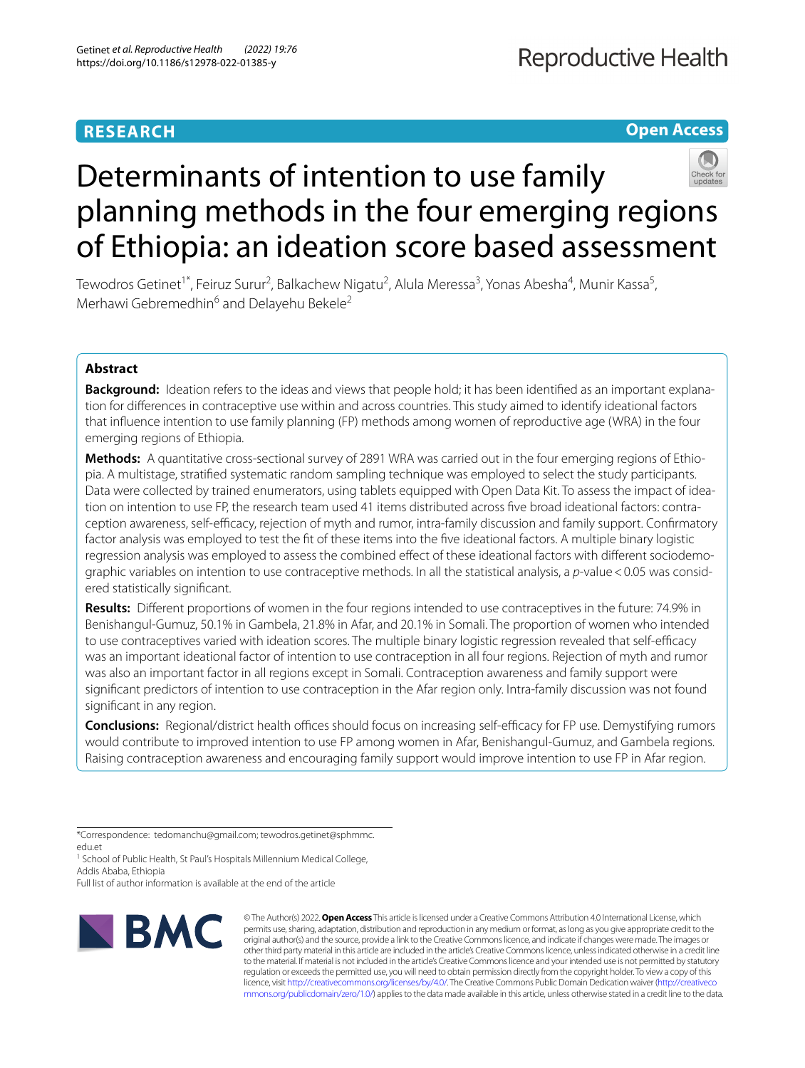# **RESEARCH**

**Open Access**

# Determinants of intention to use family planning methods in the four emerging regions of Ethiopia: an ideation score based assessment

Tewodros Getinet<sup>1\*</sup>, Feiruz Surur<sup>2</sup>, Balkachew Nigatu<sup>2</sup>, Alula Meressa<sup>3</sup>, Yonas Abesha<sup>4</sup>, Munir Kassa<sup>5</sup>, Merhawi Gebremedhin<sup>6</sup> and Delayehu Bekele<sup>2</sup>

# **Abstract**

**Background:** Ideation refers to the ideas and views that people hold; it has been identifed as an important explanation for diferences in contraceptive use within and across countries. This study aimed to identify ideational factors that infuence intention to use family planning (FP) methods among women of reproductive age (WRA) in the four emerging regions of Ethiopia.

**Methods:** A quantitative cross-sectional survey of 2891 WRA was carried out in the four emerging regions of Ethiopia. A multistage, stratifed systematic random sampling technique was employed to select the study participants. Data were collected by trained enumerators, using tablets equipped with Open Data Kit. To assess the impact of ideation on intention to use FP, the research team used 41 items distributed across fve broad ideational factors: contraception awareness, self-efficacy, rejection of myth and rumor, intra-family discussion and family support. Confirmatory factor analysis was employed to test the ft of these items into the fve ideational factors. A multiple binary logistic regression analysis was employed to assess the combined efect of these ideational factors with diferent sociodemographic variables on intention to use contraceptive methods. In all the statistical analysis, a *p*-value<0.05 was considered statistically signifcant.

**Results:** Diferent proportions of women in the four regions intended to use contraceptives in the future: 74.9% in Benishangul-Gumuz, 50.1% in Gambela, 21.8% in Afar, and 20.1% in Somali. The proportion of women who intended to use contraceptives varied with ideation scores. The multiple binary logistic regression revealed that self-efficacy was an important ideational factor of intention to use contraception in all four regions. Rejection of myth and rumor was also an important factor in all regions except in Somali. Contraception awareness and family support were signifcant predictors of intention to use contraception in the Afar region only. Intra-family discussion was not found signifcant in any region.

**Conclusions:** Regional/district health offices should focus on increasing self-efficacy for FP use. Demystifying rumors would contribute to improved intention to use FP among women in Afar, Benishangul-Gumuz, and Gambela regions. Raising contraception awareness and encouraging family support would improve intention to use FP in Afar region.

\*Correspondence: tedomanchu@gmail.com; tewodros.getinet@sphmmc. edu.et

<sup>1</sup> School of Public Health, St Paul's Hospitals Millennium Medical College, Addis Ababa, Ethiopia

Full list of author information is available at the end of the article



© The Author(s) 2022. **Open Access** This article is licensed under a Creative Commons Attribution 4.0 International License, which permits use, sharing, adaptation, distribution and reproduction in any medium or format, as long as you give appropriate credit to the original author(s) and the source, provide a link to the Creative Commons licence, and indicate if changes were made. The images or other third party material in this article are included in the article's Creative Commons licence, unless indicated otherwise in a credit line to the material. If material is not included in the article's Creative Commons licence and your intended use is not permitted by statutory regulation or exceeds the permitted use, you will need to obtain permission directly from the copyright holder. To view a copy of this licence, visit [http://creativecommons.org/licenses/by/4.0/.](http://creativecommons.org/licenses/by/4.0/) The Creative Commons Public Domain Dedication waiver ([http://creativeco](http://creativecommons.org/publicdomain/zero/1.0/) [mmons.org/publicdomain/zero/1.0/](http://creativecommons.org/publicdomain/zero/1.0/)) applies to the data made available in this article, unless otherwise stated in a credit line to the data.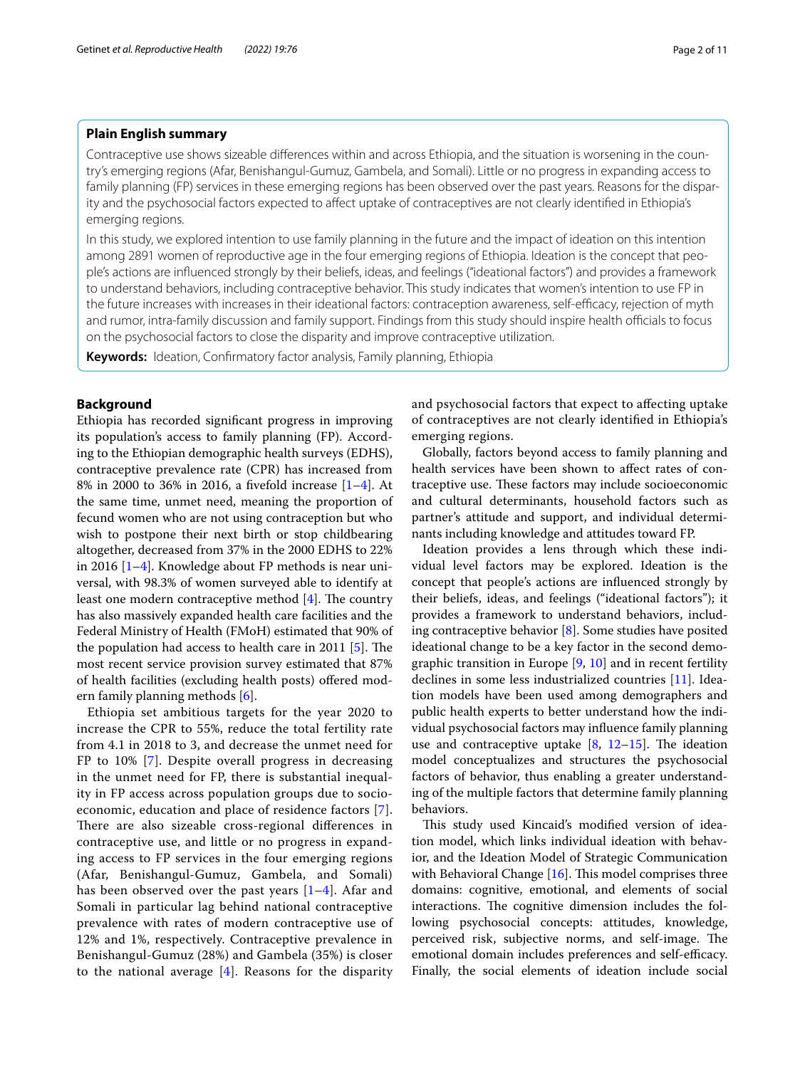# **Plain English summary**

Contraceptive use shows sizeable diferences within and across Ethiopia, and the situation is worsening in the country's emerging regions (Afar, Benishangul-Gumuz, Gambela, and Somali). Little or no progress in expanding access to family planning (FP) services in these emerging regions has been observed over the past years. Reasons for the disparity and the psychosocial factors expected to afect uptake of contraceptives are not clearly identifed in Ethiopia's emerging regions.

In this study, we explored intention to use family planning in the future and the impact of ideation on this intention among 2891 women of reproductive age in the four emerging regions of Ethiopia. Ideation is the concept that people's actions are infuenced strongly by their beliefs, ideas, and feelings (''ideational factors'') and provides a framework to understand behaviors, including contraceptive behavior. This study indicates that women's intention to use FP in the future increases with increases in their ideational factors: contraception awareness, self-efficacy, rejection of myth and rumor, intra-family discussion and family support. Findings from this study should inspire health officials to focus on the psychosocial factors to close the disparity and improve contraceptive utilization.

**Keywords:** Ideation, Confrmatory factor analysis, Family planning, Ethiopia

# **Background**

Ethiopia has recorded signifcant progress in improving its population's access to family planning (FP). According to the Ethiopian demographic health surveys (EDHS), contraceptive prevalence rate (CPR) has increased from 8% in 2000 to 36% in 2016, a fvefold increase [\[1–](#page-9-0)[4\]](#page-10-0). At the same time, unmet need, meaning the proportion of fecund women who are not using contraception but who wish to postpone their next birth or stop childbearing altogether, decreased from 37% in the 2000 EDHS to 22% in 2016 [\[1–](#page-9-0)[4\]](#page-10-0). Knowledge about FP methods is near universal, with 98.3% of women surveyed able to identify at least one modern contraceptive method  $[4]$  $[4]$ . The country has also massively expanded health care facilities and the Federal Ministry of Health (FMoH) estimated that 90% of the population had access to health care in 2011  $[5]$  $[5]$ . The most recent service provision survey estimated that 87% of health facilities (excluding health posts) ofered modern family planning methods [\[6\]](#page-10-2).

Ethiopia set ambitious targets for the year 2020 to increase the CPR to 55%, reduce the total fertility rate from 4.1 in 2018 to 3, and decrease the unmet need for FP to 10% [\[7](#page-10-3)]. Despite overall progress in decreasing in the unmet need for FP, there is substantial inequality in FP access across population groups due to socioeconomic, education and place of residence factors [[7\]](#page-10-3). There are also sizeable cross-regional differences in contraceptive use, and little or no progress in expanding access to FP services in the four emerging regions (Afar, Benishangul-Gumuz, Gambela, and Somali) has been observed over the past years [[1–](#page-9-0)[4\]](#page-10-0). Afar and Somali in particular lag behind national contraceptive prevalence with rates of modern contraceptive use of 12% and 1%, respectively. Contraceptive prevalence in Benishangul-Gumuz (28%) and Gambela (35%) is closer to the national average  $[4]$  $[4]$ . Reasons for the disparity and psychosocial factors that expect to afecting uptake of contraceptives are not clearly identifed in Ethiopia's emerging regions.

Globally, factors beyond access to family planning and health services have been shown to afect rates of contraceptive use. These factors may include socioeconomic and cultural determinants, household factors such as partner's attitude and support, and individual determinants including knowledge and attitudes toward FP.

Ideation provides a lens through which these individual level factors may be explored. Ideation is the concept that people's actions are infuenced strongly by their beliefs, ideas, and feelings (''ideational factors''); it provides a framework to understand behaviors, including contraceptive behavior [[8\]](#page-10-4). Some studies have posited ideational change to be a key factor in the second demographic transition in Europe [\[9](#page-10-5), [10\]](#page-10-6) and in recent fertility declines in some less industrialized countries [\[11\]](#page-10-7). Ideation models have been used among demographers and public health experts to better understand how the individual psychosocial factors may infuence family planning use and contraceptive uptake  $[8, 12-15]$  $[8, 12-15]$  $[8, 12-15]$  $[8, 12-15]$ . The ideation model conceptualizes and structures the psychosocial factors of behavior, thus enabling a greater understanding of the multiple factors that determine family planning behaviors.

This study used Kincaid's modified version of ideation model, which links individual ideation with behavior, and the Ideation Model of Strategic Communication with Behavioral Change  $[16]$  $[16]$ . This model comprises three domains: cognitive, emotional, and elements of social interactions. The cognitive dimension includes the following psychosocial concepts: attitudes, knowledge, perceived risk, subjective norms, and self-image. The emotional domain includes preferences and self-efficacy. Finally, the social elements of ideation include social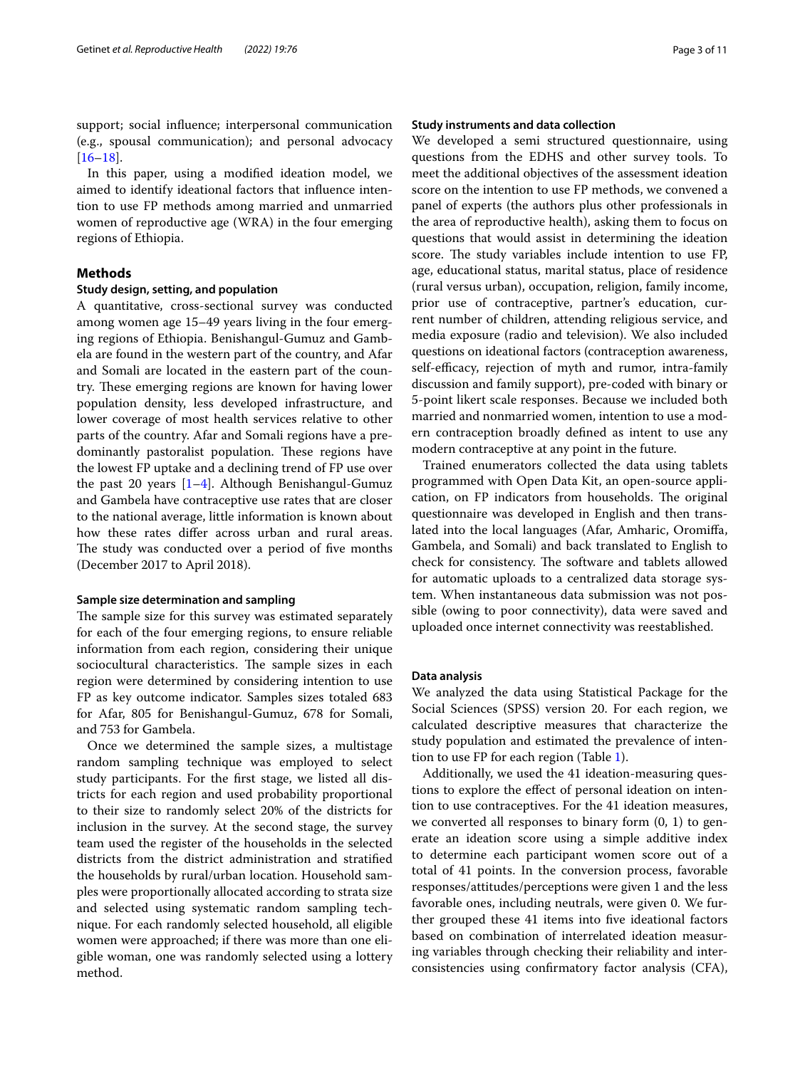support; social infuence; interpersonal communication (e.g., spousal communication); and personal advocacy  $[16–18]$  $[16–18]$  $[16–18]$  $[16–18]$ .

In this paper, using a modifed ideation model, we aimed to identify ideational factors that infuence intention to use FP methods among married and unmarried women of reproductive age (WRA) in the four emerging regions of Ethiopia.

# **Methods**

# **Study design, setting, and population**

A quantitative, cross-sectional survey was conducted among women age 15–49 years living in the four emerging regions of Ethiopia. Benishangul-Gumuz and Gambela are found in the western part of the country, and Afar and Somali are located in the eastern part of the country. These emerging regions are known for having lower population density, less developed infrastructure, and lower coverage of most health services relative to other parts of the country. Afar and Somali regions have a predominantly pastoralist population. These regions have the lowest FP uptake and a declining trend of FP use over the past 20 years [[1–](#page-9-0)[4](#page-10-0)]. Although Benishangul-Gumuz and Gambela have contraceptive use rates that are closer to the national average, little information is known about how these rates difer across urban and rural areas. The study was conducted over a period of five months (December 2017 to April 2018).

#### **Sample size determination and sampling**

The sample size for this survey was estimated separately for each of the four emerging regions, to ensure reliable information from each region, considering their unique sociocultural characteristics. The sample sizes in each region were determined by considering intention to use FP as key outcome indicator. Samples sizes totaled 683 for Afar, 805 for Benishangul-Gumuz, 678 for Somali, and 753 for Gambela.

Once we determined the sample sizes, a multistage random sampling technique was employed to select study participants. For the frst stage, we listed all districts for each region and used probability proportional to their size to randomly select 20% of the districts for inclusion in the survey. At the second stage, the survey team used the register of the households in the selected districts from the district administration and stratifed the households by rural/urban location. Household samples were proportionally allocated according to strata size and selected using systematic random sampling technique. For each randomly selected household, all eligible women were approached; if there was more than one eligible woman, one was randomly selected using a lottery method.

## **Study instruments and data collection**

We developed a semi structured questionnaire, using questions from the EDHS and other survey tools. To meet the additional objectives of the assessment ideation score on the intention to use FP methods, we convened a panel of experts (the authors plus other professionals in the area of reproductive health), asking them to focus on questions that would assist in determining the ideation score. The study variables include intention to use FP, age, educational status, marital status, place of residence (rural versus urban), occupation, religion, family income, prior use of contraceptive, partner's education, current number of children, attending religious service, and media exposure (radio and television). We also included questions on ideational factors (contraception awareness, self-efficacy, rejection of myth and rumor, intra-family discussion and family support), pre-coded with binary or 5-point likert scale responses. Because we included both married and nonmarried women, intention to use a modern contraception broadly defned as intent to use any modern contraceptive at any point in the future.

Trained enumerators collected the data using tablets programmed with Open Data Kit, an open-source application, on FP indicators from households. The original questionnaire was developed in English and then translated into the local languages (Afar, Amharic, Oromifa, Gambela, and Somali) and back translated to English to check for consistency. The software and tablets allowed for automatic uploads to a centralized data storage system. When instantaneous data submission was not possible (owing to poor connectivity), data were saved and uploaded once internet connectivity was reestablished.

# **Data analysis**

We analyzed the data using Statistical Package for the Social Sciences (SPSS) version 20. For each region, we calculated descriptive measures that characterize the study population and estimated the prevalence of intention to use FP for each region (Table [1\)](#page-3-0).

Additionally, we used the 41 ideation-measuring questions to explore the efect of personal ideation on intention to use contraceptives. For the 41 ideation measures, we converted all responses to binary form (0, 1) to generate an ideation score using a simple additive index to determine each participant women score out of a total of 41 points. In the conversion process, favorable responses/attitudes/perceptions were given 1 and the less favorable ones, including neutrals, were given 0. We further grouped these 41 items into fve ideational factors based on combination of interrelated ideation measuring variables through checking their reliability and interconsistencies using confrmatory factor analysis (CFA),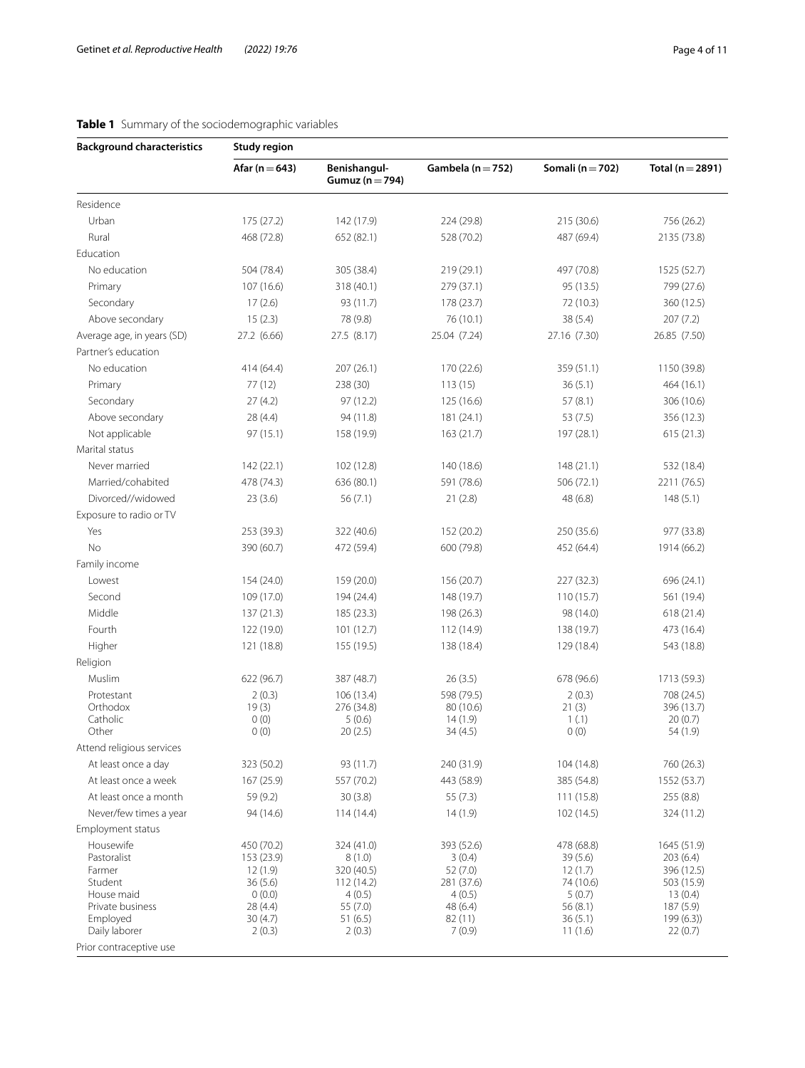# <span id="page-3-0"></span>**Table 1** Summary of the sociodemographic variables

| <b>Background characteristics</b> | <b>Study region</b>   |                                                              |                         |                      |                          |  |  |  |  |
|-----------------------------------|-----------------------|--------------------------------------------------------------|-------------------------|----------------------|--------------------------|--|--|--|--|
|                                   | Afar ( $n = 643$ )    | Benishangul-<br>Gambela ( $n = 752$ )<br>Gumuz ( $n = 794$ ) |                         | Somali ( $n = 702$ ) | Total ( $n = 2891$ )     |  |  |  |  |
| Residence                         |                       |                                                              |                         |                      |                          |  |  |  |  |
| Urban                             | 175 (27.2)            | 142 (17.9)                                                   | 224 (29.8)              | 215 (30.6)           | 756 (26.2)               |  |  |  |  |
| Rural                             | 468 (72.8)            | 652 (82.1)                                                   | 528 (70.2)              | 487 (69.4)           | 2135 (73.8)              |  |  |  |  |
| Education                         |                       |                                                              |                         |                      |                          |  |  |  |  |
| No education                      | 504 (78.4)            | 305 (38.4)                                                   | 219 (29.1)              | 497 (70.8)           | 1525 (52.7)              |  |  |  |  |
| Primary                           | 107 (16.6)            | 318 (40.1)                                                   | 279 (37.1)              | 95 (13.5)            | 799 (27.6)               |  |  |  |  |
| Secondary                         | 17(2.6)               | 93 (11.7)                                                    | 178 (23.7)              | 72 (10.3)            | 360 (12.5)               |  |  |  |  |
| Above secondary                   | 15(2.3)               | 78 (9.8)                                                     | 76 (10.1)               | 38 (5.4)             | 207 (7.2)                |  |  |  |  |
| Average age, in years (SD)        | 27.2 (6.66)           | 27.5 (8.17)                                                  | 25.04 (7.24)            | 27.16 (7.30)         | 26.85 (7.50)             |  |  |  |  |
| Partner's education               |                       |                                                              |                         |                      |                          |  |  |  |  |
| No education                      | 414 (64.4)            | 207 (26.1)                                                   | 170 (22.6)              | 359 (51.1)           | 1150 (39.8)              |  |  |  |  |
| Primary                           | 77(12)                | 238 (30)                                                     | 113(15)                 | 36(5.1)              | 464 (16.1)               |  |  |  |  |
| Secondary                         | 27(4.2)               | 97(12.2)                                                     | 125 (16.6)              | 57(8.1)              | 306 (10.6)               |  |  |  |  |
| Above secondary                   | 28 (4.4)              | 94 (11.8)                                                    | 181 (24.1)              | 53(7.5)              | 356 (12.3)               |  |  |  |  |
| Not applicable                    | 97 (15.1)             | 158 (19.9)                                                   | 163(21.7)               | 197 (28.1)           | 615(21.3)                |  |  |  |  |
| Marital status                    |                       |                                                              |                         |                      |                          |  |  |  |  |
| Never married                     | 142 (22.1)            | 102 (12.8)                                                   | 140 (18.6)              | 148(21.1)            | 532 (18.4)               |  |  |  |  |
| Married/cohabited                 | 478 (74.3)            | 636 (80.1)                                                   | 591 (78.6)              | 506 (72.1)           | 2211 (76.5)              |  |  |  |  |
| Divorced//widowed                 | 23(3.6)               | 56(7.1)                                                      | 21(2.8)                 | 48(6.8)              | 148(5.1)                 |  |  |  |  |
| Exposure to radio or TV           |                       |                                                              |                         |                      |                          |  |  |  |  |
| Yes                               | 253 (39.3)            | 322 (40.6)                                                   | 152 (20.2)              | 250 (35.6)           | 977 (33.8)               |  |  |  |  |
| No                                | 390 (60.7)            | 472 (59.4)                                                   | 600 (79.8)              | 452 (64.4)           | 1914 (66.2)              |  |  |  |  |
| Family income                     |                       |                                                              |                         |                      |                          |  |  |  |  |
| Lowest                            | 154 (24.0)            | 159 (20.0)                                                   | 156 (20.7)              | 227 (32.3)           | 696 (24.1)               |  |  |  |  |
| Second                            | 109 (17.0)            | 194 (24.4)                                                   | 148 (19.7)              | 110(15.7)            | 561 (19.4)               |  |  |  |  |
| Middle                            | 137 (21.3)            | 185 (23.3)                                                   | 198 (26.3)              | 98 (14.0)            | 618 (21.4)               |  |  |  |  |
| Fourth                            | 122 (19.0)            | 101 (12.7)                                                   | 112 (14.9)              | 138 (19.7)           | 473 (16.4)               |  |  |  |  |
|                                   |                       |                                                              |                         |                      |                          |  |  |  |  |
| Higher                            | 121 (18.8)            | 155 (19.5)                                                   | 138 (18.4)              | 129 (18.4)           | 543 (18.8)               |  |  |  |  |
| Religion                          |                       |                                                              |                         |                      |                          |  |  |  |  |
| Muslim                            | 622 (96.7)            | 387 (48.7)                                                   | 26(3.5)                 | 678 (96.6)           | 1713 (59.3)              |  |  |  |  |
| Protestant<br>Orthodox            | 2(0.3)<br>19(3)       | 106 (13.4)<br>276 (34.8)                                     | 598 (79.5)<br>80 (10.6) | 2(0.3)<br>21(3)      | 708 (24.5)<br>396 (13.7) |  |  |  |  |
| Catholic                          | 0(0)                  | 5(0.6)                                                       | 14(1.9)                 | 1(.1)                | 20(0.7)                  |  |  |  |  |
| Other                             | 0(0)                  | 20(2.5)                                                      | 34(4.5)                 | 0(0)                 | 54 (1.9)                 |  |  |  |  |
| Attend religious services         |                       |                                                              |                         |                      |                          |  |  |  |  |
| At least once a day               | 323 (50.2)            | 93 (11.7)                                                    | 240 (31.9)              | 104 (14.8)           | 760 (26.3)               |  |  |  |  |
| At least once a week              | 167 (25.9)            | 557 (70.2)                                                   | 443 (58.9)              | 385 (54.8)           | 1552 (53.7)              |  |  |  |  |
| At least once a month             | 59 (9.2)              | 30(3.8)                                                      | 55 (7.3)                | 111 (15.8)           | 255 (8.8)                |  |  |  |  |
| Never/few times a year            | 94 (14.6)             | 114(14.4)                                                    | 14(1.9)                 | 102 (14.5)           | 324 (11.2)               |  |  |  |  |
| Employment status                 |                       |                                                              |                         |                      |                          |  |  |  |  |
| Housewife                         | 450 (70.2)            | 324 (41.0)                                                   | 393 (52.6)              | 478 (68.8)           | 1645 (51.9)              |  |  |  |  |
| Pastoralist<br>Farmer             | 153 (23.9)<br>12(1.9) | 8(1.0)<br>320 (40.5)                                         | 3(0.4)<br>52(7.0)       | 39(5.6)<br>12(1.7)   | 203(6.4)<br>396 (12.5)   |  |  |  |  |
| Student                           | 36(5.6)               | 112 (14.2)                                                   | 281 (37.6)              | 74 (10.6)            | 503 (15.9)               |  |  |  |  |
| House maid                        | 0(0.0)                | 4(0.5)                                                       | 4(0.5)                  | 5(0.7)               | 13(0.4)                  |  |  |  |  |
| Private business                  | 28 (4.4)              | 55 (7.0)                                                     | 48 (6.4)                | 56 (8.1)             | 187 (5.9)                |  |  |  |  |
| Employed<br>Daily laborer         | 30(4.7)<br>2(0.3)     | 51 (6.5)<br>2(0.3)                                           | 82 (11)<br>7(0.9)       | 36(5.1)<br>11(1.6)   | 199(6.3)<br>22(0.7)      |  |  |  |  |
| Prior contraceptive use           |                       |                                                              |                         |                      |                          |  |  |  |  |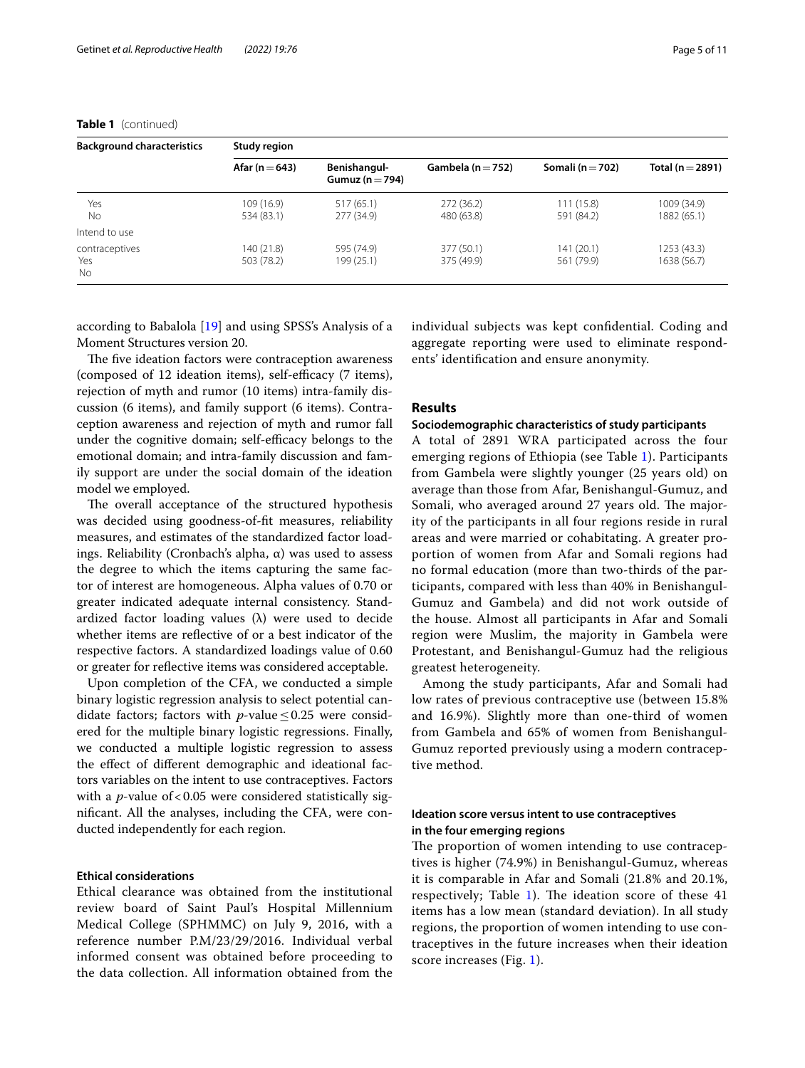# **Table 1** (continued)

Yes No

Intend to use contraceptives Yes No

480 (63.8)

377 (50.1) 375 (49.9)

277 (34.9)

595 (74.9) 199 (25.1)

according to Babalola [\[19](#page-10-12)] and using SPSS's Analysis of a Moment Structures version 20.

534 (83.1)

140 (21.8) 503 (78.2)

The five ideation factors were contraception awareness (composed of 12 ideation items), self-efficacy (7 items), rejection of myth and rumor (10 items) intra-family discussion (6 items), and family support (6 items). Contraception awareness and rejection of myth and rumor fall under the cognitive domain; self-efficacy belongs to the emotional domain; and intra-family discussion and family support are under the social domain of the ideation model we employed.

The overall acceptance of the structured hypothesis was decided using goodness-of-ft measures, reliability measures, and estimates of the standardized factor loadings. Reliability (Cronbach's alpha, α) was used to assess the degree to which the items capturing the same factor of interest are homogeneous. Alpha values of 0.70 or greater indicated adequate internal consistency. Standardized factor loading values  $(\lambda)$  were used to decide whether items are refective of or a best indicator of the respective factors. A standardized loadings value of 0.60 or greater for refective items was considered acceptable.

Upon completion of the CFA, we conducted a simple binary logistic regression analysis to select potential candidate factors; factors with *p*-value  $\leq 0.25$  were considered for the multiple binary logistic regressions. Finally, we conducted a multiple logistic regression to assess the efect of diferent demographic and ideational factors variables on the intent to use contraceptives. Factors with a  $p$ -value of < 0.05 were considered statistically signifcant. All the analyses, including the CFA, were conducted independently for each region.

# **Ethical considerations**

Ethical clearance was obtained from the institutional review board of Saint Paul's Hospital Millennium Medical College (SPHMMC) on July 9, 2016, with a reference number P.M/23/29/2016. Individual verbal informed consent was obtained before proceeding to the data collection. All information obtained from the individual subjects was kept confdential. Coding and aggregate reporting were used to eliminate respondents' identifcation and ensure anonymity.

591 (84.2)

141 (20.1) 561 (79.9)

# **Results**

## **Sociodemographic characteristics of study participants**

A total of 2891 WRA participated across the four emerging regions of Ethiopia (see Table [1\)](#page-3-0). Participants from Gambela were slightly younger (25 years old) on average than those from Afar, Benishangul-Gumuz, and Somali, who averaged around 27 years old. The majority of the participants in all four regions reside in rural areas and were married or cohabitating. A greater proportion of women from Afar and Somali regions had no formal education (more than two-thirds of the participants, compared with less than 40% in Benishangul-Gumuz and Gambela) and did not work outside of the house. Almost all participants in Afar and Somali region were Muslim, the majority in Gambela were Protestant, and Benishangul-Gumuz had the religious greatest heterogeneity.

Among the study participants, Afar and Somali had low rates of previous contraceptive use (between 15.8% and 16.9%). Slightly more than one-third of women from Gambela and 65% of women from Benishangul-Gumuz reported previously using a modern contraceptive method.

# **Ideation score versus intent to use contraceptives in the four emerging regions**

The proportion of women intending to use contraceptives is higher (74.9%) in Benishangul-Gumuz, whereas it is comparable in Afar and Somali (21.8% and 20.1%, respectively; Table [1](#page-3-0)). The ideation score of these  $41$ items has a low mean (standard deviation). In all study regions, the proportion of women intending to use contraceptives in the future increases when their ideation score increases (Fig. [1\)](#page-5-0).

1882 (65.1)

1253 (43.3) 1638 (56.7)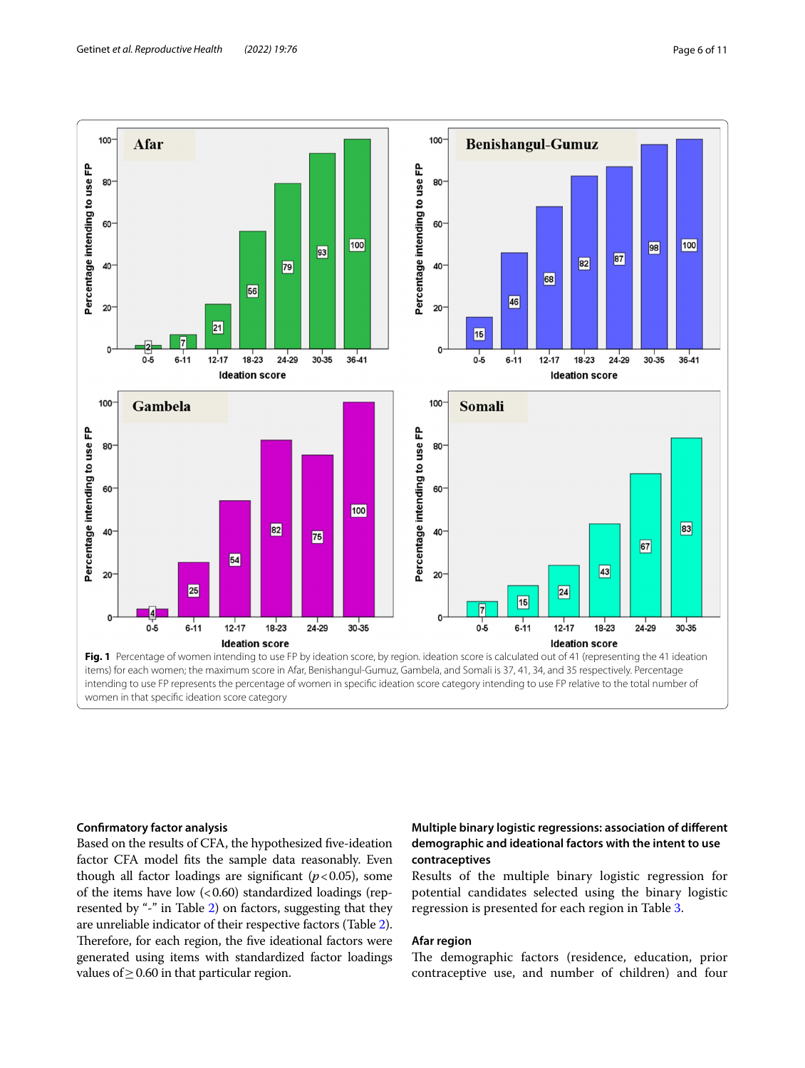

## <span id="page-5-0"></span>**Confrmatory factor analysis**

Based on the results of CFA, the hypothesized fve-ideation factor CFA model fts the sample data reasonably. Even though all factor loadings are significant  $(p<0.05)$ , some of the items have low  $( $0.60$ ) standardized loadings (rep$ resented by "-" in Table [2\)](#page-6-0) on factors, suggesting that they are unreliable indicator of their respective factors (Table [2](#page-6-0)). Therefore, for each region, the five ideational factors were generated using items with standardized factor loadings values of  $\geq$  0.60 in that particular region.

# **Multiple binary logistic regressions: association of diferent demographic and ideational factors with the intent to use contraceptives**

Results of the multiple binary logistic regression for potential candidates selected using the binary logistic regression is presented for each region in Table [3.](#page-8-0)

# **Afar region**

The demographic factors (residence, education, prior contraceptive use, and number of children) and four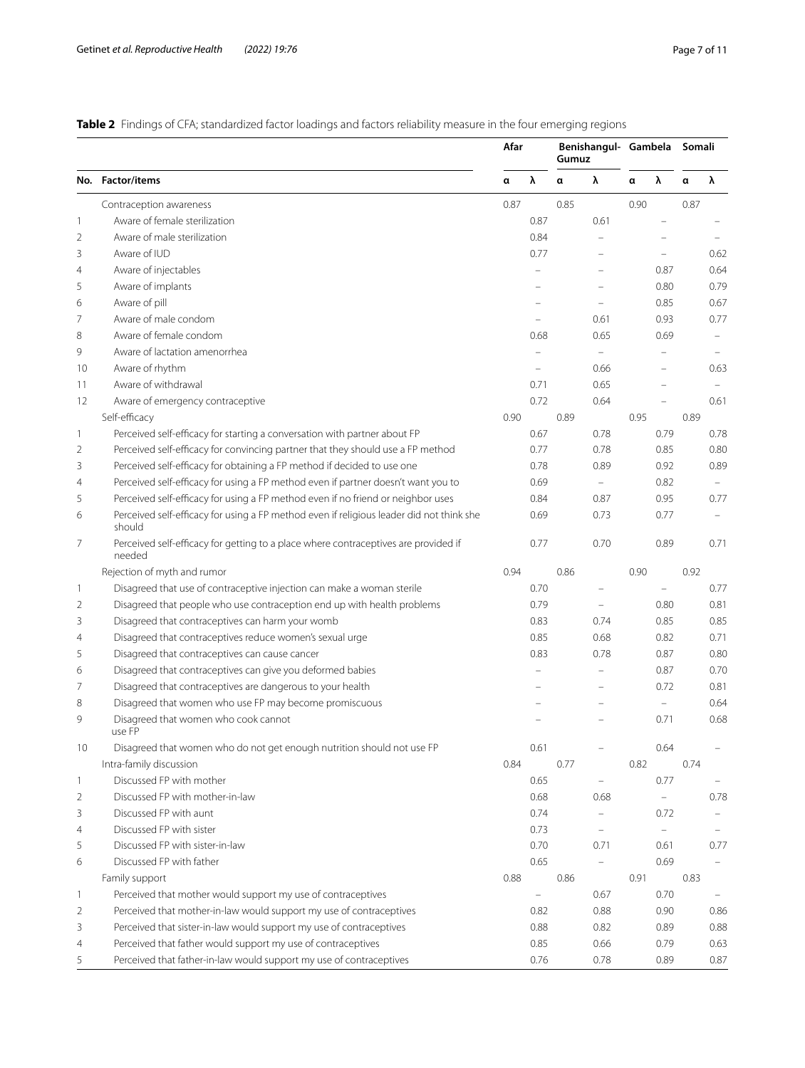<span id="page-6-0"></span>**Table 2** Findings of CFA; standardized factor loadings and factors reliability measure in the four emerging regions

|                |                                                                                                    | Afar |                          | Benishangul- Gambela<br>Gumuz |                          |      |                   | Somali |                          |
|----------------|----------------------------------------------------------------------------------------------------|------|--------------------------|-------------------------------|--------------------------|------|-------------------|--------|--------------------------|
|                | No. Factor/items                                                                                   | α    | λ                        | α                             | λ                        | α    | λ                 | α      | λ                        |
|                | Contraception awareness                                                                            | 0.87 |                          | 0.85                          |                          | 0.90 |                   | 0.87   |                          |
| 1              | Aware of female sterilization                                                                      |      | 0.87                     |                               | 0.61                     |      | $\qquad \qquad -$ |        |                          |
| 2              | Aware of male sterilization                                                                        |      | 0.84                     |                               |                          |      |                   |        |                          |
| 3              | Aware of IUD                                                                                       |      | 0.77                     |                               |                          |      |                   |        | 0.62                     |
| 4              | Aware of injectables                                                                               |      | $\overline{\phantom{0}}$ |                               |                          |      | 0.87              |        | 0.64                     |
| 5              | Aware of implants                                                                                  |      |                          |                               |                          |      | 0.80              |        | 0.79                     |
| 6              | Aware of pill                                                                                      |      |                          |                               |                          |      | 0.85              |        | 0.67                     |
| 7              | Aware of male condom                                                                               |      |                          |                               | 0.61                     |      | 0.93              |        | 0.77                     |
| 8              | Aware of female condom                                                                             |      | 0.68                     |                               | 0.65                     |      | 0.69              |        | $\overline{\phantom{a}}$ |
| 9              | Aware of lactation amenorrhea                                                                      |      |                          |                               |                          |      | $\equiv$          |        |                          |
| 10             | Aware of rhythm                                                                                    |      |                          |                               | 0.66                     |      |                   |        | 0.63                     |
| 11             | Aware of withdrawal                                                                                |      | 0.71                     |                               | 0.65                     |      |                   |        | $\sim$                   |
| 12             | Aware of emergency contraceptive                                                                   |      | 0.72                     |                               | 0.64                     |      | ÷                 |        | 0.61                     |
|                | Self-efficacy                                                                                      | 0.90 |                          | 0.89                          |                          | 0.95 |                   | 0.89   |                          |
| 1              | Perceived self-efficacy for starting a conversation with partner about FP                          |      | 0.67                     |                               | 0.78                     |      | 0.79              |        | 0.78                     |
| 2              | Perceived self-efficacy for convincing partner that they should use a FP method                    |      | 0.77                     |                               | 0.78                     |      | 0.85              |        | 0.80                     |
| 3              | Perceived self-efficacy for obtaining a FP method if decided to use one                            |      | 0.78                     |                               | 0.89                     |      | 0.92              |        | 0.89                     |
| $\overline{4}$ | Perceived self-efficacy for using a FP method even if partner doesn't want you to                  |      | 0.69                     |                               | $\equiv$                 |      | 0.82              |        | $\equiv$                 |
| 5              | Perceived self-efficacy for using a FP method even if no friend or neighbor uses                   |      | 0.84                     |                               | 0.87                     |      | 0.95              |        | 0.77                     |
| 6              | Perceived self-efficacy for using a FP method even if religious leader did not think she<br>should |      | 0.69                     |                               | 0.73                     |      | 0.77              |        |                          |
| 7              | Perceived self-efficacy for getting to a place where contraceptives are provided if<br>needed      |      | 0.77                     |                               | 0.70                     |      | 0.89              |        | 0.71                     |
|                | Rejection of myth and rumor                                                                        | 0.94 |                          | 0.86                          |                          | 0.90 |                   | 0.92   |                          |
| 1              | Disagreed that use of contraceptive injection can make a woman sterile                             |      | 0.70                     |                               |                          |      |                   |        | 0.77                     |
| $\overline{2}$ | Disagreed that people who use contraception end up with health problems                            |      | 0.79                     |                               |                          |      | 0.80              |        | 0.81                     |
| 3              | Disagreed that contraceptives can harm your womb                                                   |      | 0.83                     |                               | 0.74                     |      | 0.85              |        | 0.85                     |
| $\overline{4}$ | Disagreed that contraceptives reduce women's sexual urge                                           |      | 0.85                     |                               | 0.68                     |      | 0.82              |        | 0.71                     |
| 5              | Disagreed that contraceptives can cause cancer                                                     |      | 0.83                     |                               | 0.78                     |      | 0.87              |        | 0.80                     |
| 6              | Disagreed that contraceptives can give you deformed babies                                         |      |                          |                               |                          |      | 0.87              |        | 0.70                     |
| 7              | Disagreed that contraceptives are dangerous to your health                                         |      |                          |                               |                          |      | 0.72              |        | 0.81                     |
| 8              | Disagreed that women who use FP may become promiscuous                                             |      |                          |                               |                          |      | $\equiv$          |        | 0.64                     |
| 9              | Disagreed that women who cook cannot<br>use FP                                                     |      |                          |                               |                          |      | 0.71              |        | 0.68                     |
| 10             | Disagreed that women who do not get enough nutrition should not use FP                             |      | 0.61                     |                               |                          |      | 0.64              |        |                          |
|                | Intra-family discussion                                                                            | 0.84 |                          | 0.77                          |                          | 0.82 |                   | 0.74   |                          |
| $\mathbf{1}$   | Discussed FP with mother                                                                           |      | 0.65                     |                               | $\equiv$                 |      | 0.77              |        | $\overline{\phantom{m}}$ |
| 2              | Discussed FP with mother-in-law                                                                    |      | 0.68                     |                               | 0.68                     |      | $\equiv$          |        | 0.78                     |
| 3              | Discussed FP with aunt                                                                             |      | 0.74                     |                               | $\qquad \qquad -$        |      | 0.72              |        | $\equiv$                 |
| 4              | Discussed FP with sister                                                                           |      | 0.73                     |                               | $\overline{\phantom{m}}$ |      | $\equiv$          |        | $\equiv$                 |
| 5              | Discussed FP with sister-in-law                                                                    |      | 0.70                     |                               | 0.71                     |      | 0.61              |        | 0.77                     |
| 6              | Discussed FP with father                                                                           |      | 0.65                     |                               |                          |      | 0.69              |        |                          |
|                | Family support                                                                                     | 0.88 |                          | 0.86                          |                          | 0.91 |                   | 0.83   |                          |
| $\mathbf{1}$   | Perceived that mother would support my use of contraceptives                                       |      | $\equiv$                 |                               | 0.67                     |      | 0.70              |        |                          |
| 2              | Perceived that mother-in-law would support my use of contraceptives                                |      | 0.82                     |                               | 0.88                     |      | 0.90              |        | 0.86                     |
| 3              | Perceived that sister-in-law would support my use of contraceptives                                |      | 0.88                     |                               | 0.82                     |      | 0.89              |        | 0.88                     |
| 4              | Perceived that father would support my use of contraceptives                                       |      | 0.85                     |                               | 0.66                     |      | 0.79              |        | 0.63                     |
| 5              | Perceived that father-in-law would support my use of contraceptives                                |      | 0.76                     |                               | 0.78                     |      | 0.89              |        | 0.87                     |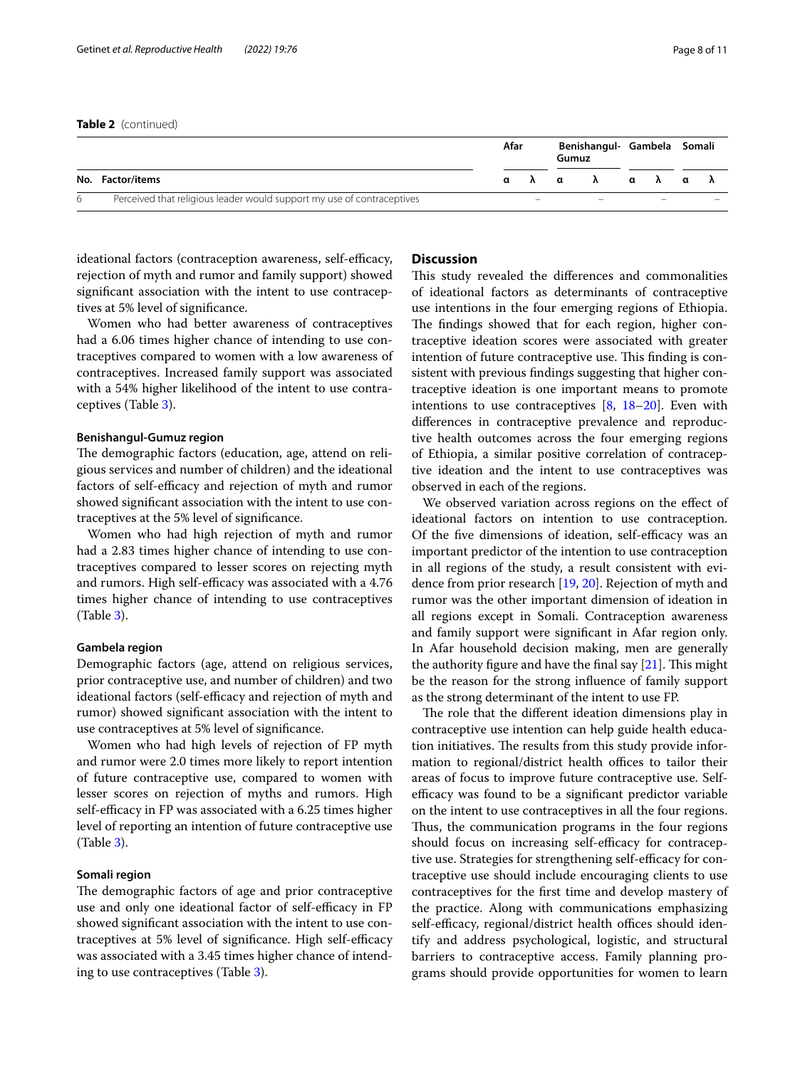## **Table 2** (continued)

|   |                                                                        | Afar                     |  | Benishangul- Gambela Somali<br>Gumuz |  |                          |  |                          |  |
|---|------------------------------------------------------------------------|--------------------------|--|--------------------------------------|--|--------------------------|--|--------------------------|--|
|   | No. Factor/items                                                       |                          |  | αλαλαλαλ                             |  |                          |  |                          |  |
| 6 | Perceived that religious leader would support my use of contraceptives | $\overline{\phantom{0}}$ |  | $\overline{\phantom{0}}$             |  | $\overline{\phantom{0}}$ |  | $\overline{\phantom{0}}$ |  |

ideational factors (contraception awareness, self-efficacy, rejection of myth and rumor and family support) showed signifcant association with the intent to use contraceptives at 5% level of signifcance.

Women who had better awareness of contraceptives had a 6.06 times higher chance of intending to use contraceptives compared to women with a low awareness of contraceptives. Increased family support was associated with a 54% higher likelihood of the intent to use contraceptives (Table [3\)](#page-8-0).

## **Benishangul-Gumuz region**

The demographic factors (education, age, attend on religious services and number of children) and the ideational factors of self-efficacy and rejection of myth and rumor showed signifcant association with the intent to use contraceptives at the 5% level of signifcance.

Women who had high rejection of myth and rumor had a 2.83 times higher chance of intending to use contraceptives compared to lesser scores on rejecting myth and rumors. High self-efficacy was associated with a 4.76 times higher chance of intending to use contraceptives (Table [3](#page-8-0)).

## **Gambela region**

Demographic factors (age, attend on religious services, prior contraceptive use, and number of children) and two ideational factors (self-efficacy and rejection of myth and rumor) showed signifcant association with the intent to use contraceptives at 5% level of signifcance.

Women who had high levels of rejection of FP myth and rumor were 2.0 times more likely to report intention of future contraceptive use, compared to women with lesser scores on rejection of myths and rumors. High self-efficacy in FP was associated with a 6.25 times higher level of reporting an intention of future contraceptive use (Table [3](#page-8-0)).

## **Somali region**

The demographic factors of age and prior contraceptive use and only one ideational factor of self-efficacy in FP showed signifcant association with the intent to use contraceptives at 5% level of significance. High self-efficacy was associated with a 3.45 times higher chance of intending to use contraceptives (Table [3\)](#page-8-0).

# **Discussion**

This study revealed the differences and commonalities of ideational factors as determinants of contraceptive use intentions in the four emerging regions of Ethiopia. The findings showed that for each region, higher contraceptive ideation scores were associated with greater intention of future contraceptive use. This finding is consistent with previous fndings suggesting that higher contraceptive ideation is one important means to promote intentions to use contraceptives  $[8, 18-20]$  $[8, 18-20]$  $[8, 18-20]$  $[8, 18-20]$  $[8, 18-20]$ . Even with diferences in contraceptive prevalence and reproductive health outcomes across the four emerging regions of Ethiopia, a similar positive correlation of contraceptive ideation and the intent to use contraceptives was observed in each of the regions.

We observed variation across regions on the effect of ideational factors on intention to use contraception. Of the five dimensions of ideation, self-efficacy was an important predictor of the intention to use contraception in all regions of the study, a result consistent with evidence from prior research [\[19](#page-10-12), [20\]](#page-10-13). Rejection of myth and rumor was the other important dimension of ideation in all regions except in Somali. Contraception awareness and family support were signifcant in Afar region only. In Afar household decision making, men are generally the authority figure and have the final say  $[21]$  $[21]$ . This might be the reason for the strong infuence of family support as the strong determinant of the intent to use FP.

The role that the different ideation dimensions play in contraceptive use intention can help guide health education initiatives. The results from this study provide information to regional/district health offices to tailor their areas of focus to improve future contraceptive use. Selfefficacy was found to be a significant predictor variable on the intent to use contraceptives in all the four regions. Thus, the communication programs in the four regions should focus on increasing self-efficacy for contraceptive use. Strategies for strengthening self-efficacy for contraceptive use should include encouraging clients to use contraceptives for the frst time and develop mastery of the practice. Along with communications emphasizing self-efficacy, regional/district health offices should identify and address psychological, logistic, and structural barriers to contraceptive access. Family planning programs should provide opportunities for women to learn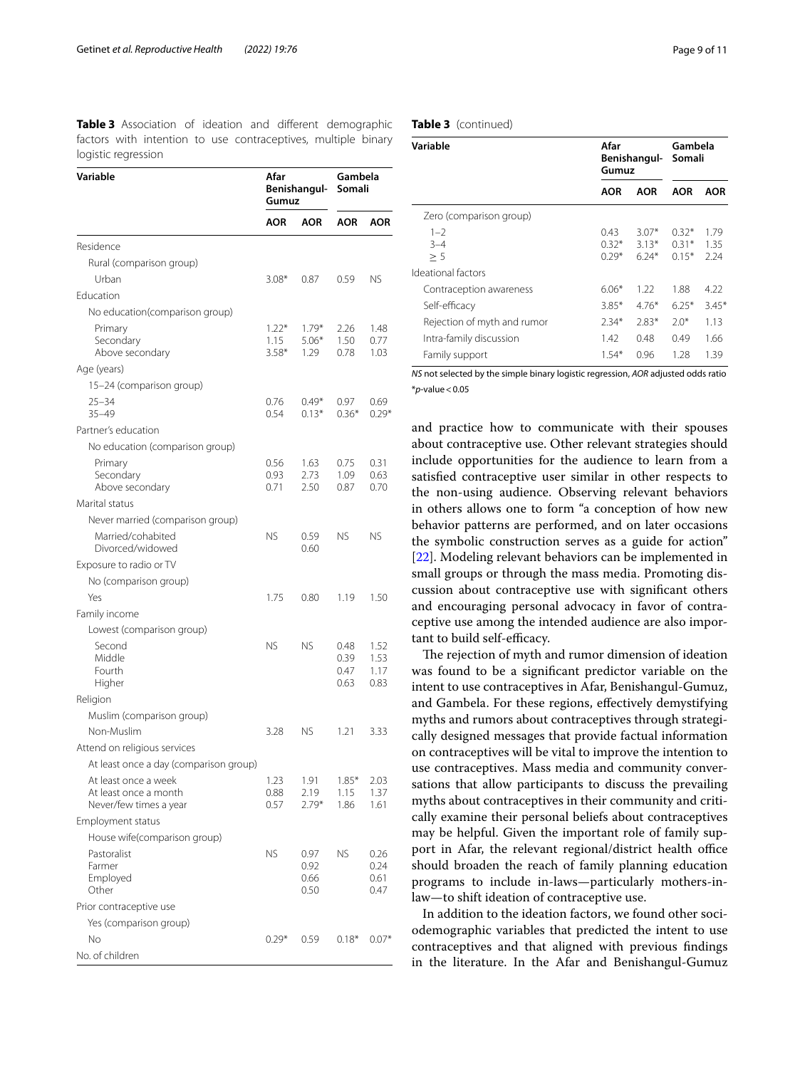<span id="page-8-0"></span>**Table 3** Association of ideation and different demographic factors with intention to use contraceptives, multiple binary logistic regression

#### **Variable Afar Benishangul-Gumuz Gambela Somali AOR AOR AOR AOR** Residence Rural (comparison group) Urban 3.08\* 0.87 0.59 NS Education No education(comparison group) Primary Secondary Above secondary 1.22\* 1.15 3.58\* 1.79\* 5.06\* 1.29 2.26 1.50 0.78 1.48 0.77 1.03 Age (years) 15–24 (comparison group) 25–34 35–49 0.76 0.54  $0.49*$  $0.13*$ 0.97 0.36\* 0.69 0.29\* Partner's education No education (comparison group) Primary Secondary Above secondary 0.56 0.93 0.71 1.63 2.73 2.50 0.75 1.09 0.87 0.31 0.63 0.70 Marital status Never married (comparison group) Married/cohabited Divorced/widowed NS 0.59 0.60 NS NS Exposure to radio or TV No (comparison group) Yes 1.75 0.80 1.19 1.50 Family income Lowest (comparison group) Second Middle Fourth Higher NS NS 0.48 0.39 0.47 0.63 1.52 1.53 1.17 0.83 Religion Muslim (comparison group) Non-Muslim 3.28 NS 1.21 3.33 Attend on religious services At least once a day (comparison group) At least once a week At least once a month Never/few times a year 1.23 0.88 0.57 1.91 2.19 2.79\* 1.85\* 1.15 1.86 2.03 1.37 1.61 Employment status House wife(comparison group) Pastoralist Farmer Employed **Other** NS 0.97 0.92 0.66 0.50 NS 0.26 0.24 0.61 0.47 Prior contraceptive use Yes (comparison group) No 0.29\* 0.59 0.18\* 0.07\* No. of children

# **Table 3** (continued)

| Variable                    | Afar<br>Gumuz              | Benishangul-                  | Gambela<br>Somali             |                      |  |  |
|-----------------------------|----------------------------|-------------------------------|-------------------------------|----------------------|--|--|
|                             | <b>AOR</b>                 | AOR                           | <b>AOR</b>                    | <b>AOR</b>           |  |  |
| Zero (comparison group)     |                            |                               |                               |                      |  |  |
| $1 - 2$<br>$3 - 4$<br>> 5   | 0.43<br>$0.32*$<br>$0.29*$ | $3.07*$<br>$3.13*$<br>$6.24*$ | $0.32*$<br>$0.31*$<br>$0.15*$ | 1.79<br>1.35<br>2.24 |  |  |
| Ideational factors          |                            |                               |                               |                      |  |  |
| Contraception awareness     | $6.06*$                    | 1.22                          | 1.88                          | 4.22                 |  |  |
| Self-efficacy               | $3.85*$                    | 476*                          | $6.25*$                       | $3.45*$              |  |  |
| Rejection of myth and rumor | $2.34*$                    | $2.83*$                       | $2.0*$                        | 1.13                 |  |  |
| Intra-family discussion     | 1.42                       | 0.48                          | 0.49                          | 1.66                 |  |  |
| Family support              | $1.54*$                    | 0.96                          | 1.28                          | 1.39                 |  |  |

*NS* not selected by the simple binary logistic regression, *AOR* adjusted odds ratio \**p*-value<0.05

and practice how to communicate with their spouses about contraceptive use. Other relevant strategies should include opportunities for the audience to learn from a satisfed contraceptive user similar in other respects to the non-using audience. Observing relevant behaviors in others allows one to form "a conception of how new behavior patterns are performed, and on later occasions the symbolic construction serves as a guide for action" [[22\]](#page-10-15). Modeling relevant behaviors can be implemented in small groups or through the mass media. Promoting discussion about contraceptive use with signifcant others and encouraging personal advocacy in favor of contraceptive use among the intended audience are also important to build self-efficacy.

The rejection of myth and rumor dimension of ideation was found to be a signifcant predictor variable on the intent to use contraceptives in Afar, Benishangul-Gumuz, and Gambela. For these regions, efectively demystifying myths and rumors about contraceptives through strategically designed messages that provide factual information on contraceptives will be vital to improve the intention to use contraceptives. Mass media and community conversations that allow participants to discuss the prevailing myths about contraceptives in their community and critically examine their personal beliefs about contraceptives may be helpful. Given the important role of family support in Afar, the relevant regional/district health office should broaden the reach of family planning education programs to include in-laws—particularly mothers-inlaw—to shift ideation of contraceptive use.

In addition to the ideation factors, we found other sociodemographic variables that predicted the intent to use contraceptives and that aligned with previous fndings in the literature. In the Afar and Benishangul-Gumuz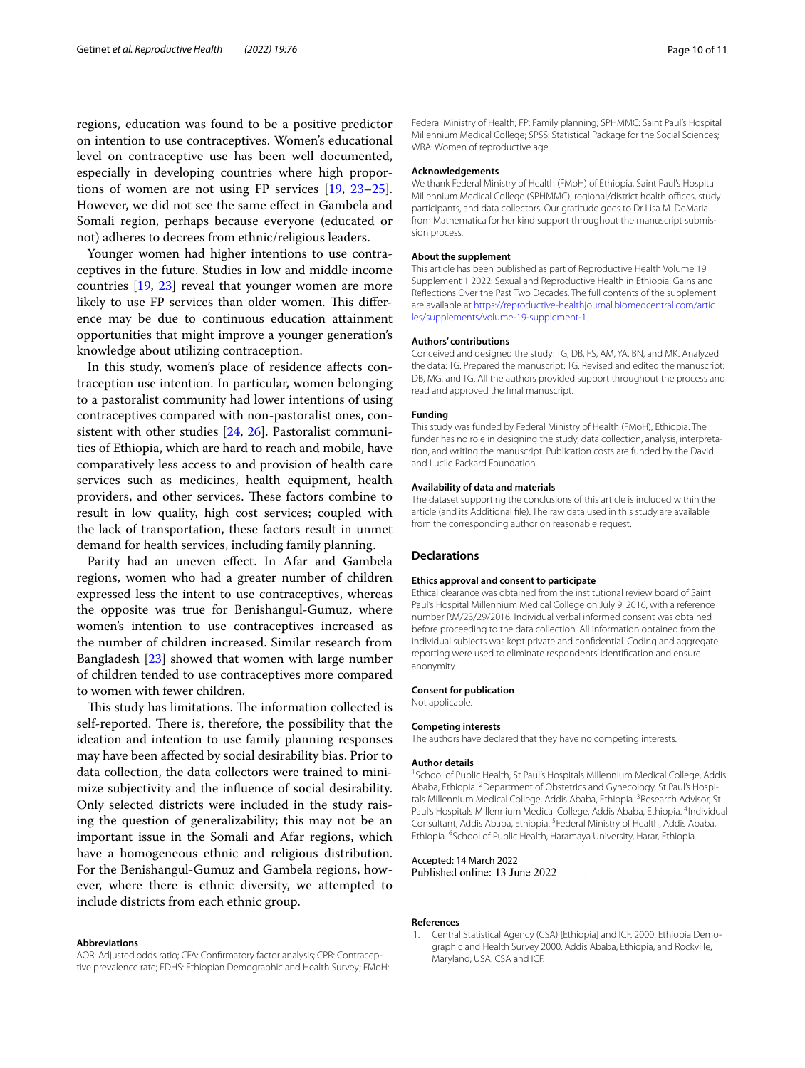regions, education was found to be a positive predictor on intention to use contraceptives. Women's educational level on contraceptive use has been well documented, especially in developing countries where high proportions of women are not using FP services [\[19](#page-10-12), [23](#page-10-16)[–25](#page-10-17)]. However, we did not see the same efect in Gambela and Somali region, perhaps because everyone (educated or not) adheres to decrees from ethnic/religious leaders.

Younger women had higher intentions to use contraceptives in the future. Studies in low and middle income countries [[19,](#page-10-12) [23](#page-10-16)] reveal that younger women are more likely to use FP services than older women. This difference may be due to continuous education attainment opportunities that might improve a younger generation's knowledge about utilizing contraception.

In this study, women's place of residence afects contraception use intention. In particular, women belonging to a pastoralist community had lower intentions of using contraceptives compared with non-pastoralist ones, consistent with other studies [[24,](#page-10-18) [26](#page-10-19)]. Pastoralist communities of Ethiopia, which are hard to reach and mobile, have comparatively less access to and provision of health care services such as medicines, health equipment, health providers, and other services. These factors combine to result in low quality, high cost services; coupled with the lack of transportation, these factors result in unmet demand for health services, including family planning.

Parity had an uneven efect. In Afar and Gambela regions, women who had a greater number of children expressed less the intent to use contraceptives, whereas the opposite was true for Benishangul-Gumuz, where women's intention to use contraceptives increased as the number of children increased. Similar research from Bangladesh [[23\]](#page-10-16) showed that women with large number of children tended to use contraceptives more compared to women with fewer children.

This study has limitations. The information collected is self-reported. There is, therefore, the possibility that the ideation and intention to use family planning responses may have been afected by social desirability bias. Prior to data collection, the data collectors were trained to minimize subjectivity and the infuence of social desirability. Only selected districts were included in the study raising the question of generalizability; this may not be an important issue in the Somali and Afar regions, which have a homogeneous ethnic and religious distribution. For the Benishangul-Gumuz and Gambela regions, however, where there is ethnic diversity, we attempted to include districts from each ethnic group.

#### **Abbreviations**

AOR: Adjusted odds ratio; CFA: Confrmatory factor analysis; CPR: Contraceptive prevalence rate; EDHS: Ethiopian Demographic and Health Survey; FMoH: Federal Ministry of Health; FP: Family planning; SPHMMC: Saint Paul's Hospital Millennium Medical College; SPSS: Statistical Package for the Social Sciences; WRA: Women of reproductive age.

#### **Acknowledgements**

We thank Federal Ministry of Health (FMoH) of Ethiopia, Saint Paul's Hospital Millennium Medical College (SPHMMC), regional/district health offices, study participants, and data collectors. Our gratitude goes to Dr Lisa M. DeMaria from Mathematica for her kind support throughout the manuscript submission process.

## **About the supplement**

This article has been published as part of Reproductive Health Volume 19 Supplement 1 2022: Sexual and Reproductive Health in Ethiopia: Gains and Refections Over the Past Two Decades. The full contents of the supplement are available at [https://reproductive-healthjournal.biomedcentral.com/artic](https://reproductive-healthjournal.biomedcentral.com/articles/supplements/volume-19-supplement-1) [les/supplements/volume-19-supplement-1](https://reproductive-healthjournal.biomedcentral.com/articles/supplements/volume-19-supplement-1).

#### **Authors' contributions**

Conceived and designed the study: TG, DB, FS, AM, YA, BN, and MK. Analyzed the data: TG. Prepared the manuscript: TG. Revised and edited the manuscript: DB, MG, and TG. All the authors provided support throughout the process and read and approved the fnal manuscript.

#### **Funding**

This study was funded by Federal Ministry of Health (FMoH), Ethiopia. The funder has no role in designing the study, data collection, analysis, interpretation, and writing the manuscript. Publication costs are funded by the David and Lucile Packard Foundation.

#### **Availability of data and materials**

The dataset supporting the conclusions of this article is included within the article (and its Additional fle). The raw data used in this study are available from the corresponding author on reasonable request.

## **Declarations**

#### **Ethics approval and consent to participate**

Ethical clearance was obtained from the institutional review board of Saint Paul's Hospital Millennium Medical College on July 9, 2016, with a reference number P.M/23/29/2016. Individual verbal informed consent was obtained before proceeding to the data collection. All information obtained from the individual subjects was kept private and confdential. Coding and aggregate reporting were used to eliminate respondents' identifcation and ensure anonymity.

#### **Consent for publication**

Not applicable.

#### **Competing interests**

The authors have declared that they have no competing interests.

#### **Author details**

<sup>1</sup> School of Public Health, St Paul's Hospitals Millennium Medical College, Addis Ababa, Ethiopia. <sup>2</sup> Department of Obstetrics and Gynecology, St Paul's Hospitals Millennium Medical College, Addis Ababa, Ethiopia. <sup>3</sup> Research Advisor, St Paul's Hospitals Millennium Medical College, Addis Ababa, Ethiopia. <sup>4</sup>Individual Consultant, Addis Ababa, Ethiopia. <sup>5</sup> Federal Ministry of Health, Addis Ababa, Ethiopia. <sup>6</sup>School of Public Health, Haramaya University, Harar, Ethiopia.

## Accepted: 14 March 2022

Published online: 13 June 2022

#### **References**

<span id="page-9-0"></span>1. Central Statistical Agency (CSA) [Ethiopia] and ICF. 2000. Ethiopia Demographic and Health Survey 2000. Addis Ababa, Ethiopia, and Rockville, Maryland, USA: CSA and ICF.